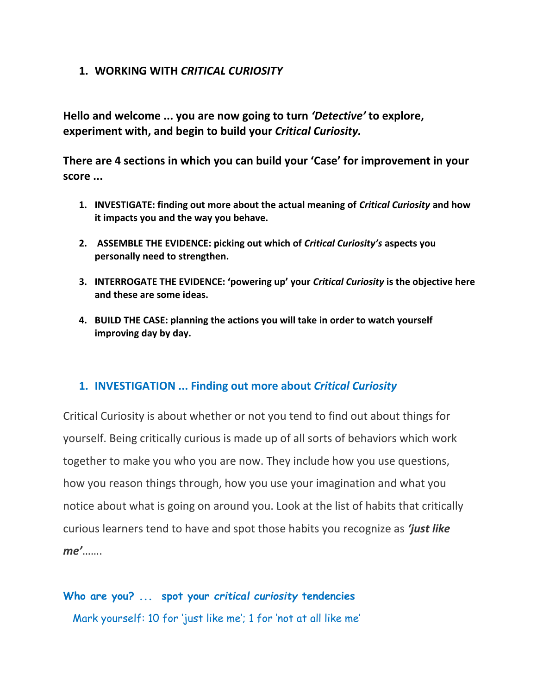## **1. WORKING WITH** *CRITICAL CURIOSITY*

**Hello and welcome ... you are now going to turn** *'Detective'* **to explore, experiment with, and begin to build your** *Critical Curiosity.* 

**There are 4 sections in which you can build your 'Case' for improvement in your score ...**

- **1. INVESTIGATE: finding out more about the actual meaning of** *Critical Curiosity* **and how it impacts you and the way you behave.**
- **2. ASSEMBLE THE EVIDENCE: picking out which of** *Critical Curiosity's* **aspects you personally need to strengthen.**
- **3. INTERROGATE THE EVIDENCE: 'powering up' your** *Critical Curiosity* **is the objective here and these are some ideas.**
- **4. BUILD THE CASE: planning the actions you will take in order to watch yourself improving day by day.**

## **1. INVESTIGATION ... Finding out more about** *Critical Curiosity*

Critical Curiosity is about whether or not you tend to find out about things for yourself. Being critically curious is made up of all sorts of behaviors which work together to make you who you are now. They include how you use questions, how you reason things through, how you use your imagination and what you notice about what is going on around you. Look at the list of habits that critically curious learners tend to have and spot those habits you recognize as *'just like me'*…….

# **Who are you? ... spot your** *critical curiosity* **tendencies**

Mark yourself: 10 for 'just like me'; 1 for 'not at all like me'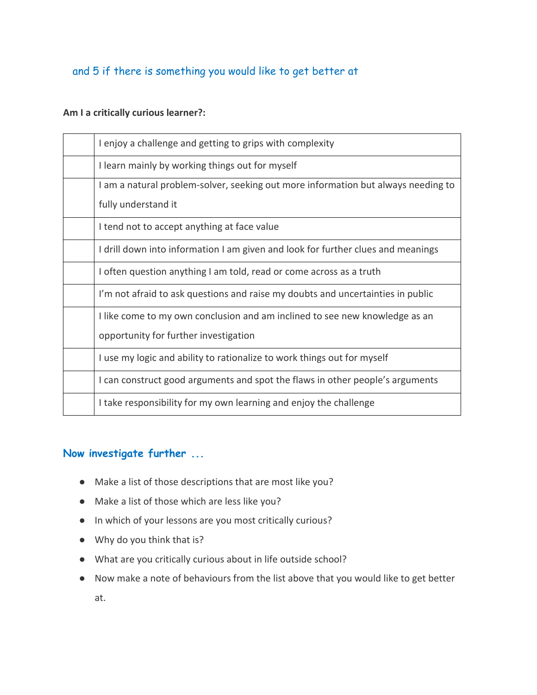## and 5 if there is something you would like to get better at

### **Am I a critically curious learner?:**

| I enjoy a challenge and getting to grips with complexity                          |
|-----------------------------------------------------------------------------------|
| I learn mainly by working things out for myself                                   |
| I am a natural problem-solver, seeking out more information but always needing to |
| fully understand it                                                               |
| I tend not to accept anything at face value                                       |
| I drill down into information I am given and look for further clues and meanings  |
| I often question anything I am told, read or come across as a truth               |
| I'm not afraid to ask questions and raise my doubts and uncertainties in public   |
| I like come to my own conclusion and am inclined to see new knowledge as an       |
| opportunity for further investigation                                             |
| I use my logic and ability to rationalize to work things out for myself           |
| I can construct good arguments and spot the flaws in other people's arguments     |
| I take responsibility for my own learning and enjoy the challenge                 |

## **Now investigate further ...**

- Make a list of those descriptions that are most like you?
- Make a list of those which are less like you?
- In which of your lessons are you most critically curious?
- Why do you think that is?
- What are you critically curious about in life outside school?
- Now make a note of behaviours from the list above that you would like to get better at.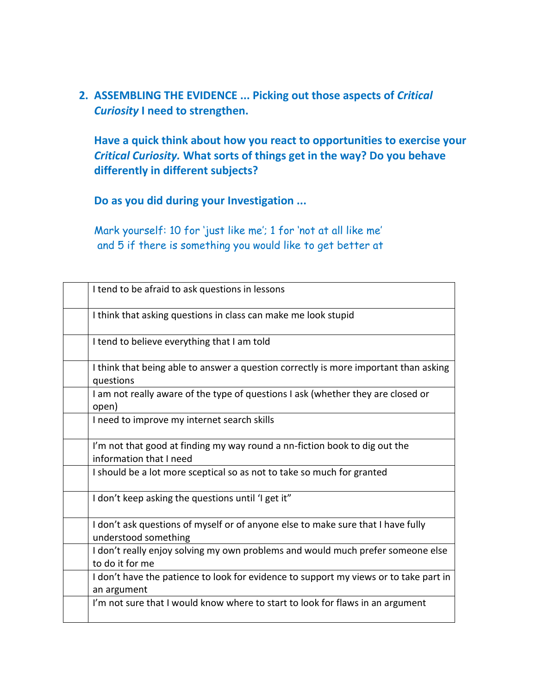**2. ASSEMBLING THE EVIDENCE ... Picking out those aspects of** *Critical Curiosity* **I need to strengthen.**

**Have a quick think about how you react to opportunities to exercise your**  *Critical Curiosity.* **What sorts of things get in the way? Do you behave differently in different subjects?**

**Do as you did during your Investigation ...**

Mark yourself: 10 for 'just like me'; 1 for 'not at all like me' and 5 if there is something you would like to get better at

| I tend to be afraid to ask questions in lessons                                                          |
|----------------------------------------------------------------------------------------------------------|
| I think that asking questions in class can make me look stupid                                           |
| I tend to believe everything that I am told                                                              |
| I think that being able to answer a question correctly is more important than asking<br>questions        |
| I am not really aware of the type of questions I ask (whether they are closed or<br>open)                |
| I need to improve my internet search skills                                                              |
| I'm not that good at finding my way round a nn-fiction book to dig out the<br>information that I need    |
| I should be a lot more sceptical so as not to take so much for granted                                   |
| I don't keep asking the questions until 'I get it"                                                       |
| I don't ask questions of myself or of anyone else to make sure that I have fully<br>understood something |
| I don't really enjoy solving my own problems and would much prefer someone else<br>to do it for me       |
| I don't have the patience to look for evidence to support my views or to take part in<br>an argument     |
| I'm not sure that I would know where to start to look for flaws in an argument                           |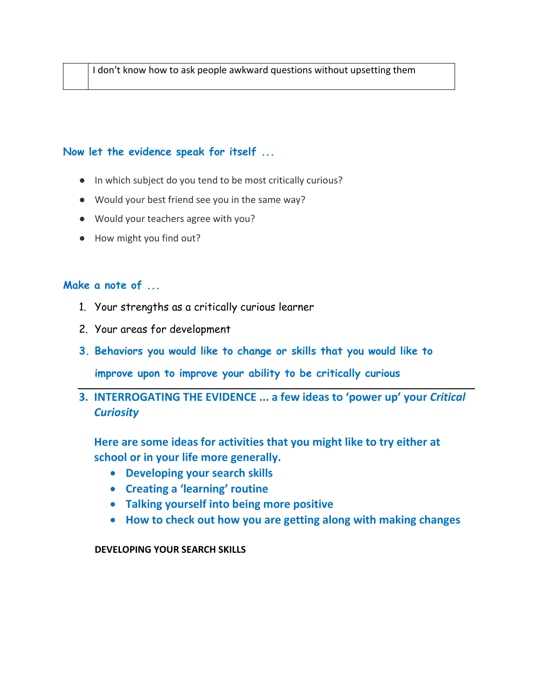## **Now let the evidence speak for itself ...**

- In which subject do you tend to be most critically curious?
- Would your best friend see you in the same way?
- Would your teachers agree with you?
- How might you find out?

## **Make a note of ...**

- 1. Your strengths as a critically curious learner
- 2. Your areas for development
- **3. Behaviors you would like to change or skills that you would like to**

**improve upon to improve your ability to be critically curious**

**3. INTERROGATING THE EVIDENCE ... a few ideas to 'power up' your** *Critical Curiosity* 

**Here are some ideas for activities that you might like to try either at school or in your life more generally.**

- **Developing your search skills**
- **Creating a 'learning' routine**
- **Talking yourself into being more positive**
- **How to check out how you are getting along with making changes**

**DEVELOPING YOUR SEARCH SKILLS**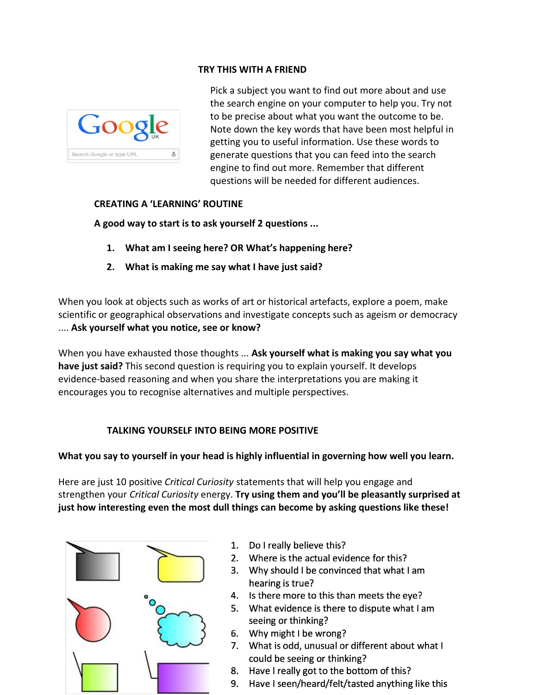#### **TRY THIS WITH A FRIEND**



Pick a subject you want to find out more about and use the search engine on your computer to help you. Try not to be precise about what you want the outcome to be. Note down the key words that have been most helpful in getting you to useful information. Use these words to generate questions that you can feed into the search engine to find out more. Remember that different questions will be needed for different audiences.

#### **CREATING A 'LEARNING' ROUTINE**

**A good way to start is to ask yourself 2 questions ...**

- **1. What am I seeing here? OR What's happening here?**
- **2. What is making me say what I have just said?**

.... Ask yourself what you notice, see or know? When you look at objects such as works of art or historical artefacts, explore a poem, make scientific or geographical observations and investigate concepts such as ageism or democracy

When you have exhausted those thoughts ... **Ask yourself what is making you say what you have just said?** This second question is requiring you to explain yourself. It develops evidence-based reasoning and when you share the interpretations you are making it encourages you to recognise alternatives and multiple perspectives.

#### **TALKING YOURSELF INTO BEING MORE POSITIVE**

#### **What you say to yourself in your head is highly influential in governing how well you learn.**

Here are just 10 positive *Critical Curiosity* statements that will help you engage and strengthen your *Critical Curiosity* energy. **Try using them and you'll be pleasantly surprised at just how interesting even the most dull things can become by asking questions like these!**



- 1. Do I really believe this?
- 2. Where is the actual evidence for this?
- 3. Why should I be convinced that what I am hearing is true?
- 4. Is there more to this than meets the eye?
- 5. What evidence is there to dispute what I am seeing or thinking?
- 6. Why might I be wrong?
- 7. What is odd, unusual or different about what I could be seeing or thinking?
- 8. Have I really got to the bottom of this?
- 9. Have I seen/heard/felt/tasted anything like this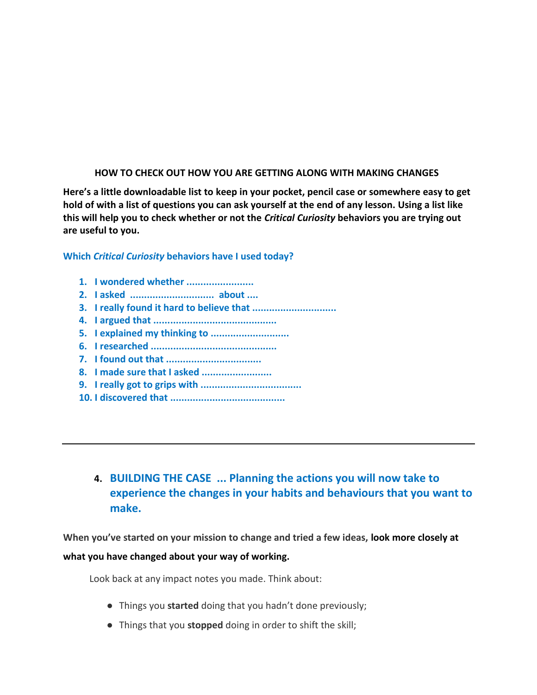#### **HOW TO CHECK OUT HOW YOU ARE GETTING ALONG WITH MAKING CHANGES**

**Here's a little downloadable list to keep in your pocket, pencil case or somewhere easy to get hold of with a list of questions you can ask yourself at the end of any lesson. Using a list like this will help you to check whether or not the** *Critical Curiosity* **behaviors you are trying out are useful to you.**

#### **Which** *Critical Curiosity* **behaviors have I used today?**

- **1. I wondered whether ........................**
- **2. I asked .............................. about ....**
- **3. I really found it hard to believe that ..............................**
- **4. I argued that ............................................**
- **5. I explained my thinking to ............................**
- **6. I researched .............................................**
- **7. I found out that ..................................**
- **8. I made sure that I asked .........................**
- **9. I really got to grips with ....................................**
- **10. I discovered that .........................................**
	- **4. BUILDING THE CASE ... Planning the actions you will now take to experience the changes in your habits and behaviours that you want to make.**

**When you've started on your mission to change and tried a few ideas, look more closely at what you have changed about your way of working.**

Look back at any impact notes you made. Think about:

- Things you **started** doing that you hadn't done previously;
- Things that you **stopped** doing in order to shift the skill;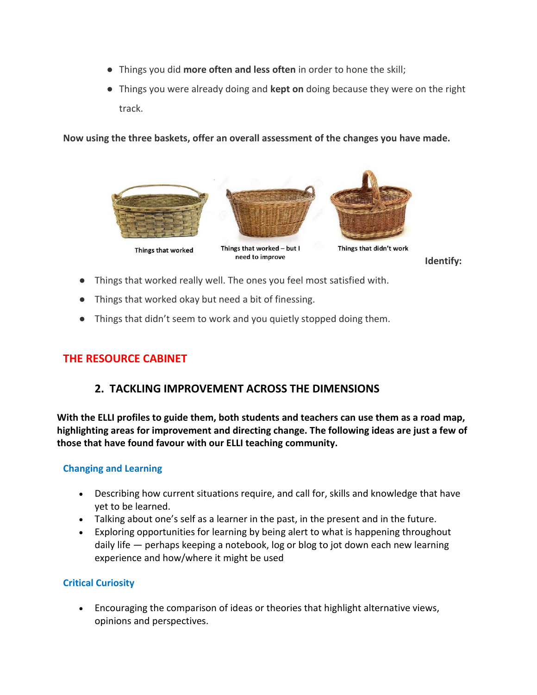- Things you did **more often and less often** in order to hone the skill;
- Things you were already doing and **kept on** doing because they were on the right track.

**Now using the three baskets, offer an overall assessment of the changes you have made.** 



**Identify:**

- Things that worked really well. The ones you feel most satisfied with.
- Things that worked okay but need a bit of finessing.
- Things that didn't seem to work and you quietly stopped doing them.

## **THE RESOURCE CABINET**

## **2. TACKLING IMPROVEMENT ACROSS THE DIMENSIONS**

**With the ELLI profiles to guide them, both students and teachers can use them as a road map, highlighting areas for improvement and directing change. The following ideas are just a few of those that have found favour with our ELLI teaching community.**

### **Changing and Learning**

- Describing how current situations require, and call for, skills and knowledge that have yet to be learned.
- Talking about one's self as a learner in the past, in the present and in the future.
- Exploring opportunities for learning by being alert to what is happening throughout daily life — perhaps keeping a notebook, log or blog to jot down each new learning experience and how/where it might be used

### **Critical Curiosity**

• Encouraging the comparison of ideas or theories that highlight alternative views, opinions and perspectives.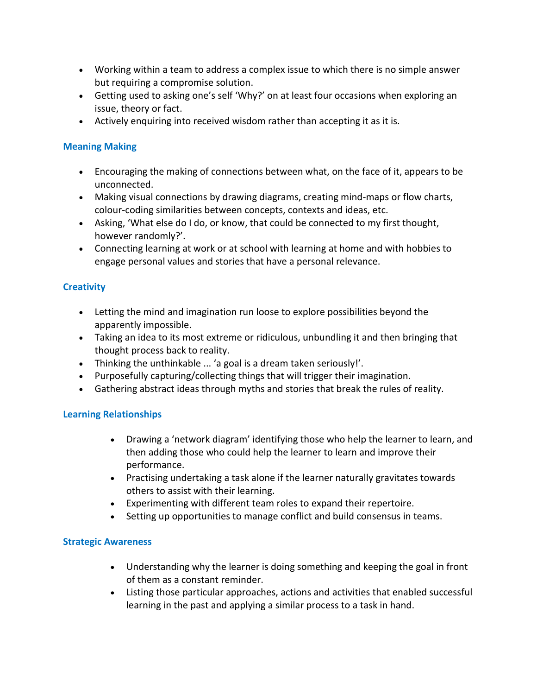- Working within a team to address a complex issue to which there is no simple answer but requiring a compromise solution.
- Getting used to asking one's self 'Why?' on at least four occasions when exploring an issue, theory or fact.
- Actively enquiring into received wisdom rather than accepting it as it is.

### **Meaning Making**

- Encouraging the making of connections between what, on the face of it, appears to be unconnected.
- Making visual connections by drawing diagrams, creating mind-maps or flow charts, colour-coding similarities between concepts, contexts and ideas, etc.
- Asking, 'What else do I do, or know, that could be connected to my first thought, however randomly?'.
- Connecting learning at work or at school with learning at home and with hobbies to engage personal values and stories that have a personal relevance.

### **Creativity**

- Letting the mind and imagination run loose to explore possibilities beyond the apparently impossible.
- Taking an idea to its most extreme or ridiculous, unbundling it and then bringing that thought process back to reality.
- Thinking the unthinkable ... 'a goal is a dream taken seriously!'.
- Purposefully capturing/collecting things that will trigger their imagination.
- Gathering abstract ideas through myths and stories that break the rules of reality.

### **Learning Relationships**

- Drawing a 'network diagram' identifying those who help the learner to learn, and then adding those who could help the learner to learn and improve their performance.
- Practising undertaking a task alone if the learner naturally gravitates towards others to assist with their learning.
- Experimenting with different team roles to expand their repertoire.
- Setting up opportunities to manage conflict and build consensus in teams.

### **Strategic Awareness**

- Understanding why the learner is doing something and keeping the goal in front of them as a constant reminder.
- Listing those particular approaches, actions and activities that enabled successful learning in the past and applying a similar process to a task in hand.